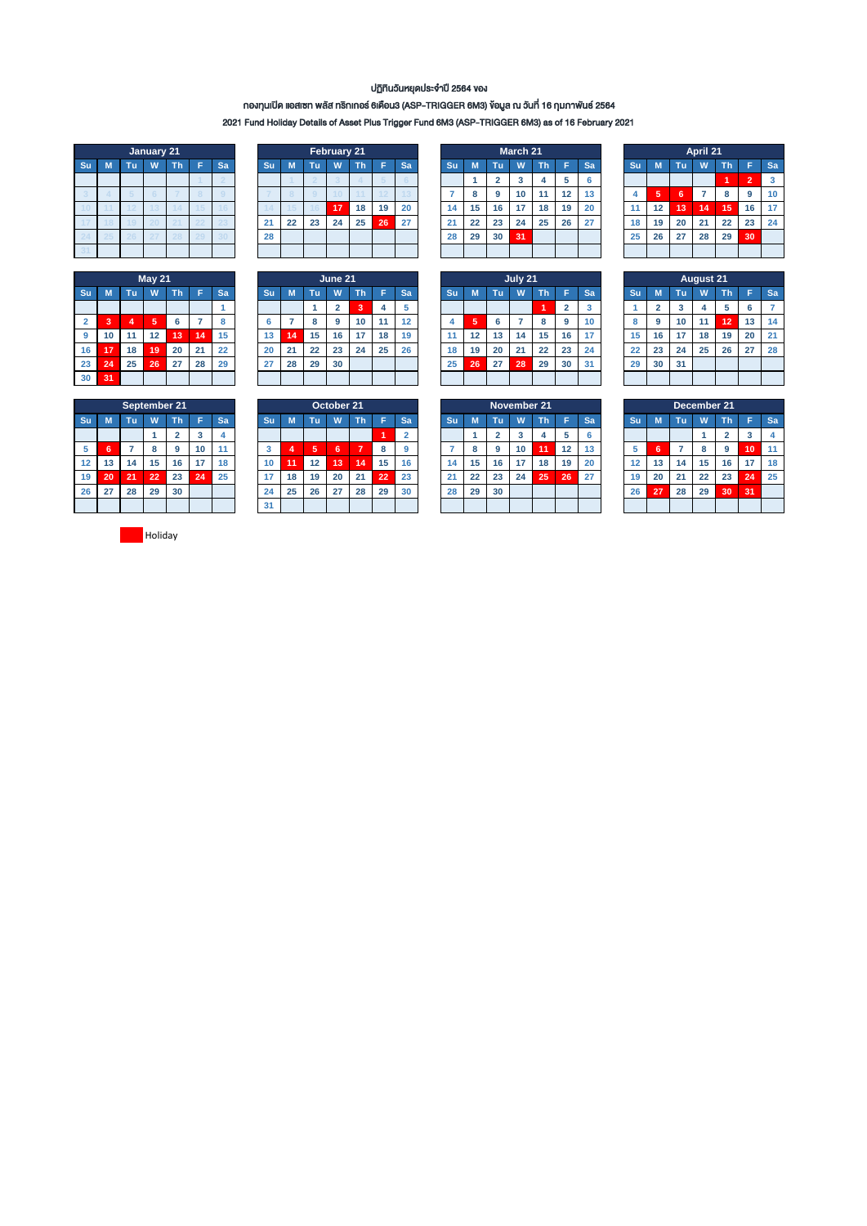## ปฏิทินวันหยุดประจ ำปี 2564 ของ

# กองทุนเปิด แอสเซท พลัส ทริกเกอร์ 6เดือน3 (ASP-TRIGGER 6M3) ข้อมูล ณ วันที่ 16 กุมภำพันธ์ 2564

2021 Fund Holiday Details of Asset Plus Trigger Fund 6M3 (ASP-TRIGGER 6M3) as of 16 February 2021

|    |    |    | January 21      |    |    |    |
|----|----|----|-----------------|----|----|----|
| Su | M  | Tu | W               | Th | Ë  | Sa |
|    |    |    |                 |    |    |    |
| 3  |    | 5  |                 |    |    |    |
| 10 |    | 12 | 13              | a  | 15 | 6  |
|    | 8  | 9  | $\overline{20}$ | 21 | 22 | 23 |
| 24 | 25 | 26 | <sup>2</sup>    | 28 | 29 | 30 |
| 31 |    |    |                 |    |    |    |

|                |    |                | May $21$ |    |    |    |
|----------------|----|----------------|----------|----|----|----|
| Su             | M  | Tu             | W        | Th | F  | Sa |
|                |    |                |          |    |    |    |
| $\overline{2}$ | 3  | $\overline{4}$ | 5        | 6  |    | 8  |
| 9              | 10 | 11             | 12       | 13 | 14 | 15 |
| 16             | 17 | 18             | 19       | 20 | 21 | 22 |
| 23             | 24 | 25             | 26       | 27 | 28 | 29 |
| 30             | 31 |                |          |    |    |    |

|     |   |           | January 21 |        |    |    |    |    | February 21 |     |    |    |    |    |    | March 21 |    |    |           |    |    |        | April 21        |              |    |           |
|-----|---|-----------|------------|--------|----|----|----|----|-------------|-----|----|----|----|----|----|----------|----|----|-----------|----|----|--------|-----------------|--------------|----|-----------|
| Suʻ | M | Πū        | w          | ۷ħ     | Sa | Su |    | Тū | W           | Th' |    | Sa | Su |    | ٦m | W        | Th |    | <b>Sa</b> | Su |    | Тū     | W               | Th           | E. | <b>Sa</b> |
|     |   |           |            |        |    |    |    |    |             |     |    |    |    |    |    |          |    |    |           |    |    |        |                 |              |    | 3         |
|     |   |           |            |        |    |    |    |    |             |     |    |    |    | 8  | 9  | 10       |    | 12 | 13        |    | ь  | ۰<br>ь |                 | $\circ$<br>~ |    | 10        |
|     |   |           |            |        |    |    |    |    | $4 - 7$     | 18  | 19 | 20 | 14 | 15 | 16 |          | 18 | 19 | 20        |    | 12 | 13     | $\overline{14}$ | 15           | 16 | -17       |
|     |   |           |            |        |    | 21 | 22 | 23 | 24          | 25  | 26 | 27 | 21 | 22 | 23 | 24       | 25 | 26 | 27        | 18 | 19 | 20     | 21              | 22           | 23 | 24        |
|     |   | <b>CU</b> | . .        | $\sim$ |    | 28 |    |    |             |     |    |    | 28 | 29 | 30 | 31       |    |    |           | 25 | 26 | 27     | 28              | 29           | 30 |           |
|     |   |           |            |        |    |    |    |    |             |     |    |    |    |    |    |          |    |    |           |    |    |        |                 |              |    |           |

|                |     |    | <b>May 21</b>     |    |    |           |    |    |    | June 21 |    |    |    |    |    |     | July 21 |    |    |           |    |    |    | <b>August 21</b> |    |    |           |
|----------------|-----|----|-------------------|----|----|-----------|----|----|----|---------|----|----|----|----|----|-----|---------|----|----|-----------|----|----|----|------------------|----|----|-----------|
| Su             | M   | Tu | W                 | ٦ħ |    | Sa        | Su |    | Tτ | W       | чn |    | Sa | Su |    | पा. | w       | Th |    | <b>Sa</b> | Su |    | Tu | W                | Th |    | <b>Sa</b> |
|                |     |    |                   |    |    |           |    |    |    |         |    | 4  |    |    |    |     |         |    |    |           |    |    | ×  |                  |    |    |           |
| $\overline{2}$ | - 3 |    | ю                 | 6  |    | $\bullet$ |    |    |    | g       | 10 |    | 12 |    | 5  |     |         | 8  | 9  | 10        |    | ີ  | 10 |                  | 12 | 13 | 14        |
| 9              | 10  | 11 | $12 \overline{ }$ | 13 | 14 | 15        | 13 | 14 | 15 | 16      | 17 | 18 | 19 |    | 12 | 13  | 14      | 15 | 16 | 17        | 15 | 16 | 17 | 18               | 19 | 20 | 21        |
| 16             | 17  | 18 | 19                | 20 | 21 | 22        | 20 | 21 | 22 | 23      | 24 | 25 | 26 | 18 | 19 | 20  | 21      | 22 | 23 | 24        | 22 | 23 | 24 | 25               | 26 | 27 | 28        |
| 23             | 24  | 25 | 26                | 27 | 28 | 29        | 27 | 28 | 29 | 30      |    |    |    | 25 | 26 | 27  | 28      | 29 | 30 | 31        | 29 | 30 | 31 |                  |    |    |           |
| 30             | 31  |    |                   |    |    |           |    |    |    |         |    |    |    |    |    |     |         |    |    |           |    |    |    |                  |    |    |           |

|                |    |                | March 21 |    |    |    |
|----------------|----|----------------|----------|----|----|----|
| Su             | M  | Tu             | W        | Th | F  | Sa |
|                | 1  | $\overline{2}$ | 3        | 4  | 5  | 6  |
| $\overline{7}$ | 8  | 9              | 10       | 11 | 12 | 13 |
| 14             | 15 | 16             | 17       | 18 | 19 | 20 |
| 21             | 22 | 23             | 24       | 25 | 26 | 27 |
| 28             | 29 | 30             | 31       |    |    |    |
|                |    |                |          |    |    |    |

|                | July 21 |    |    |    |                |                         |  |  |  |  |  |  |  |  |
|----------------|---------|----|----|----|----------------|-------------------------|--|--|--|--|--|--|--|--|
| Su             | M       | Tu | W  | Th | F              | Sa                      |  |  |  |  |  |  |  |  |
|                |         |    |    | 1  | $\overline{2}$ | $\overline{\mathbf{3}}$ |  |  |  |  |  |  |  |  |
| $\overline{4}$ | 5       | 6  | 7  | 8  | 9              | 10                      |  |  |  |  |  |  |  |  |
| 11             | 12      | 13 | 14 | 15 | 16             | 17                      |  |  |  |  |  |  |  |  |
| 18             | 19      | 20 | 21 | 22 | 23             | 24                      |  |  |  |  |  |  |  |  |
| 25             | 26      | 27 | 28 | 29 | 30             | 31                      |  |  |  |  |  |  |  |  |
|                |         |    |    |    |                |                         |  |  |  |  |  |  |  |  |

|    |    |    | April 21 |    |                |    |
|----|----|----|----------|----|----------------|----|
| Su | M  | Sa |          |    |                |    |
|    |    |    |          | 1  | $\overline{2}$ | 3  |
| 4  | 5  | 6  | 7        | 8  | 9              | 10 |
| 11 | 12 | 13 | 14       | 15 | 16             | 17 |
| 18 | 19 | 20 | 21       | 22 | 23             | 24 |
| 25 | 26 | 27 | 28       | 29 | 30             |    |
|    |    |    |          |    |                |    |

|    | <b>August 21</b> |                         |    |    |    |    |  |  |  |  |  |  |  |  |  |
|----|------------------|-------------------------|----|----|----|----|--|--|--|--|--|--|--|--|--|
| Su | M                | Tu                      | w  | Th | F  | Sa |  |  |  |  |  |  |  |  |  |
| 1  | $\overline{2}$   | $\overline{\mathbf{3}}$ | 4  | 5  | 6  |    |  |  |  |  |  |  |  |  |  |
| 8  | 9                | 10                      | 11 | 12 | 13 | 14 |  |  |  |  |  |  |  |  |  |
| 15 | 16               | 17                      | 18 | 19 | 20 | 21 |  |  |  |  |  |  |  |  |  |
| 22 | 23               | 24                      | 25 | 26 | 27 | 28 |  |  |  |  |  |  |  |  |  |
| 29 | 30               | 31                      |    |    |    |    |  |  |  |  |  |  |  |  |  |
|    |                  |                         |    |    |    |    |  |  |  |  |  |  |  |  |  |

|    |                         |    | September 21 |                |    |    |  |  |  |  |  |  |  |  |
|----|-------------------------|----|--------------|----------------|----|----|--|--|--|--|--|--|--|--|
| Su | F<br>M<br>Tu<br>W<br>Th |    |              |                |    |    |  |  |  |  |  |  |  |  |
|    |                         |    |              | $\overline{2}$ | 3  | 4  |  |  |  |  |  |  |  |  |
| 5  | 6                       |    | 8            | 9              | 10 | 11 |  |  |  |  |  |  |  |  |
| 12 | 13                      | 14 | 15           | 16             | 17 | 18 |  |  |  |  |  |  |  |  |
| 19 | 20                      | 21 | 22           | 23             | 24 | 25 |  |  |  |  |  |  |  |  |
| 26 | 27                      | 28 | 29           | 30             |    |    |  |  |  |  |  |  |  |  |
|    |                         |    |              |                |    |    |  |  |  |  |  |  |  |  |

|                 |    | September 21 |    |    |    |    |        |    |    | October 21 |    |                |    |               |    |     | November 21 |    |    |           |    |    |    | December 21 |    |    |           |
|-----------------|----|--------------|----|----|----|----|--------|----|----|------------|----|----------------|----|---------------|----|-----|-------------|----|----|-----------|----|----|----|-------------|----|----|-----------|
| Su              | м. | Τū           | w  | n  |    | Sa | Su     |    | TЪ | W          | ın |                | Sa | Su            |    | тh. | W           | Th |    | <b>Sa</b> | Su |    | чņ | W           | Th |    | <b>Sa</b> |
|                 |    |              |    |    |    |    |        |    |    |            |    |                |    |               |    |     |             |    |    |           |    |    |    |             |    |    |           |
| 5               |    |              |    | 9  | 10 |    | $\sim$ |    | 5  | 6          | -  | $\bullet$<br>۰ |    |               |    |     | 10          | 11 | 12 | 14        | b  | 'n |    |             | 9  | 10 | 11        |
| 12 <sub>2</sub> | 13 | 14           | 15 | 16 | 17 | 18 | 10     |    | 12 | 13         | 14 | 15             | 16 | $\mathbf{14}$ | 15 | 16  |             | 18 | 19 | 20        |    | 13 | 14 | 15          | 16 |    | 18        |
| 19              | 20 | 21           | 22 | 23 | 24 | 25 | 17     | 18 | 19 | 20         | 24 | 22             | 23 | 21            | 22 | 23  | 24          | 25 | 26 | 27        | 19 | 20 | 21 | 22          | 23 | 24 | 25        |
| 26              | 27 | 28           | 29 | 30 |    |    | 24     | 25 | 26 | 27         | 28 | 29             | 30 | 28            | 29 | 30  |             |    |    |           | 26 | 27 | 28 | 29          | 30 | 31 |           |
|                 |    |              |    |    |    |    | 31     |    |    |            |    |                |    |               |    |     |             |    |    |           |    |    |    |             |    |    |           |

|    |    |                | November 21 |           |    |    |
|----|----|----------------|-------------|-----------|----|----|
| Su | M  | Tu             | W           | <b>Th</b> | F  | Sa |
|    |    | $\overline{2}$ | 3           | 4         | 5  | 6  |
|    | 8  | 9              | 10          | 11        | 12 | 13 |
| 14 | 15 | 16             | 17          | 18        | 19 | 20 |
| 21 | 22 | 23             | 24          | 25        | 26 | 27 |
| 28 | 29 | 30             |             |           |    |    |
|    |    |                |             |           |    |    |

|    |    |    | December 21 |                |    |    |
|----|----|----|-------------|----------------|----|----|
| Su | M  | Tu | F           | Sa             |    |    |
|    |    |    | 1           | $\overline{2}$ | 3  | 4  |
| 5  | 6  |    | 8           | 9              | 10 | 11 |
| 12 | 13 | 14 | 15          | 16             | 17 | 18 |
| 19 | 20 | 21 | 22          | 23             | 24 | 25 |
| 26 | 27 | 28 | 29          | 30             | 31 |    |
|    |    |    |             |                |    |    |

**Holiday**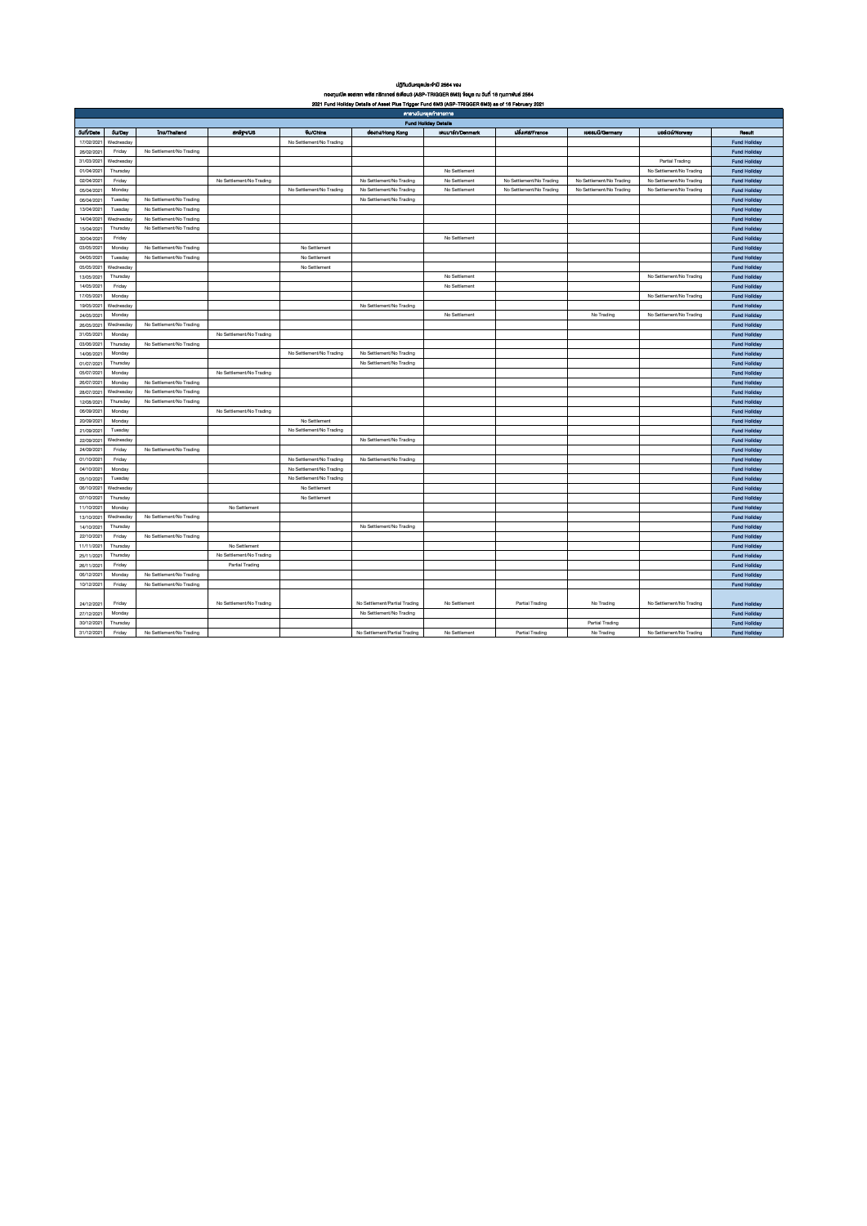| <b>UITIUSUHBAUS: 910 2564 VOJ</b> |               |                          |                          |                          |                                                                                                   |                             |                          |                          |                          |                     |  |
|-----------------------------------|---------------|--------------------------|--------------------------|--------------------------|---------------------------------------------------------------------------------------------------|-----------------------------|--------------------------|--------------------------|--------------------------|---------------------|--|
|                                   |               |                          |                          |                          | กองทุนเปิด แอสเซท พลัส ทธิกเกอร์ 6เดือน3 (ASP-TRIGGER 6M3) ข้อมูล ณ วันที่ 16 กุมภาพันธ์ 2564     |                             |                          |                          |                          |                     |  |
|                                   |               |                          |                          |                          | 2021 Fund Holiday Details of Asset Plus Trigger Fund 6M3 (ASP-TRIGGER 6M3) as of 16 February 2021 |                             |                          |                          |                          |                     |  |
|                                   |               |                          |                          |                          |                                                                                                   | ตารางวันหยุดทำรายการ        |                          |                          |                          |                     |  |
|                                   |               |                          |                          |                          |                                                                                                   | <b>Fund Holiday Details</b> |                          |                          |                          |                     |  |
| <b>Juli/Date</b>                  | <b>Su/Day</b> | <b>Inc/Thalland</b>      | anty vus                 | <b>Vu/China</b>          | domwHong Kong                                                                                     | inuunsn/Denmark             | <b>USJIFIE/France</b>    | <b>199SUU/Germany</b>    | uesiou/Norway            | <b>Result</b>       |  |
| 17/02/2021                        | Wednesday     |                          |                          | No Settlement/No Trading |                                                                                                   |                             |                          |                          |                          | <b>Fund Hollday</b> |  |
| 26/02/2021                        | Friday        | No Settlement/No Trading |                          |                          |                                                                                                   |                             |                          |                          |                          | <b>Fund Hollday</b> |  |
| 31/03/2021                        | Wednesday     |                          |                          |                          |                                                                                                   |                             |                          |                          | Partial Trading          | <b>Fund Hollday</b> |  |
| 01/04/2021                        | Thursday      |                          |                          |                          |                                                                                                   | No Settlement               |                          |                          | No Settlement/No Trading | <b>Fund Hollday</b> |  |
| 02/04/2021                        | Friday        |                          | No Settlement/No Trading |                          | No Settlement/No Trading                                                                          | No Settlement               | No Settlement/No Trading | No Settlement/No Trading | No Settlement/No Trading | <b>Fund Hollday</b> |  |
| 05/04/2021                        | Monday        |                          |                          | No Settlement/No Trading | No Settlement/No Trading                                                                          | No Settlement               | No Settlement/No Trading | No Settlement/No Trading | No Settlement/No Trading | <b>Fund Hollday</b> |  |
| 06/04/2021                        | Tuesday       | No Settlement/No Trading |                          |                          | No Settlement/No Trading                                                                          |                             |                          |                          |                          | <b>Fund Hollday</b> |  |
| 13/04/2021                        | Tuesday       | No Settlement/No Trading |                          |                          |                                                                                                   |                             |                          |                          |                          | <b>Fund Hollday</b> |  |
| 14/04/2021                        | Wednesday     | No Settlement/No Trading |                          |                          |                                                                                                   |                             |                          |                          |                          | <b>Fund Hollday</b> |  |
| 15/04/2021                        | Thursday      | No Settlement/No Trading |                          |                          |                                                                                                   |                             |                          |                          |                          | <b>Fund Hollday</b> |  |
| 30/04/2021                        | Friday        |                          |                          |                          |                                                                                                   | No Settlement               |                          |                          |                          | <b>Fund Hollday</b> |  |
| 03/05/2021                        | Monday        | No Settlement/No Trading |                          | No Settlement            |                                                                                                   |                             |                          |                          |                          | <b>Fund Hollday</b> |  |
| 04/05/2021                        | Tuesday       | No Settlement/No Trading |                          | No Settlement            |                                                                                                   |                             |                          |                          |                          | <b>Fund Hollday</b> |  |
| 05/05/2021                        | Wednesday     |                          |                          | No Settlement            |                                                                                                   |                             |                          |                          |                          | <b>Fund Hollday</b> |  |
| 13/05/2021                        | Thursday      |                          |                          |                          |                                                                                                   | No Settlement               |                          |                          | No Settlement/No Trading | <b>Fund Hollday</b> |  |
| 14/05/2021                        | Friday        |                          |                          |                          |                                                                                                   | No Settlement               |                          |                          |                          | <b>Fund Hollday</b> |  |
| 17/05/2021                        | Monday        |                          |                          |                          |                                                                                                   |                             |                          |                          | No Settlement/No Trading | <b>Fund Hollday</b> |  |
| 19/05/2021                        | Wednesday     |                          |                          |                          | No Settlement/No Trading                                                                          |                             |                          |                          |                          | <b>Fund Hollday</b> |  |
| 24/05/2021                        | Monday        |                          |                          |                          |                                                                                                   | No Settlement               |                          | No Trading               | No Settlement/No Trading | <b>Fund Hollday</b> |  |
| 26/05/2021                        | Wednesday     | No Settlement/No Trading |                          |                          |                                                                                                   |                             |                          |                          |                          | <b>Fund Hollday</b> |  |
| 31/05/2021                        | Monday        |                          | No Settlement/No Trading |                          |                                                                                                   |                             |                          |                          |                          | <b>Fund Hollday</b> |  |
|                                   | Thursday      | No Settlement/No Trading |                          |                          |                                                                                                   |                             |                          |                          |                          |                     |  |
| 03/06/2021<br>14/06/2021          |               |                          |                          |                          |                                                                                                   |                             |                          |                          |                          | <b>Fund Hollday</b> |  |
|                                   | Monday        |                          |                          | No Settlement/No Trading | No Settlement/No Trading                                                                          |                             |                          |                          |                          | <b>Fund Hollday</b> |  |
| 01/07/2021                        | Thursday      |                          |                          |                          | No Settlement/No Trading                                                                          |                             |                          |                          |                          | <b>Fund Hollday</b> |  |
| 05/07/2021                        | Monday        |                          | No Settlement/No Trading |                          |                                                                                                   |                             |                          |                          |                          | <b>Fund Hollday</b> |  |
| 26/07/2021                        | Monday        | No Settlement/No Trading |                          |                          |                                                                                                   |                             |                          |                          |                          | <b>Fund Hollday</b> |  |
| 28/07/2021                        | Wednesday     | No Settlement/No Trading |                          |                          |                                                                                                   |                             |                          |                          |                          | <b>Fund Hollday</b> |  |
| 12/08/2021                        | Thursday      | No Settlement/No Trading |                          |                          |                                                                                                   |                             |                          |                          |                          | <b>Fund Hollday</b> |  |
| 06/09/2021                        | Monday        |                          | No Settlement/No Trading |                          |                                                                                                   |                             |                          |                          |                          | <b>Fund Hollday</b> |  |
| 20/09/2021                        | Monday        |                          |                          | No Settlement            |                                                                                                   |                             |                          |                          |                          | <b>Fund Hollday</b> |  |
| 21/09/2021                        | Tuesday       |                          |                          | No Settlement/No Trading |                                                                                                   |                             |                          |                          |                          | <b>Fund Hollday</b> |  |
| 22/09/2021                        | Wednesday     |                          |                          |                          | No Settlement/No Trading                                                                          |                             |                          |                          |                          | <b>Fund Hollday</b> |  |
| 24/09/2021                        | Friday        | No Settlement/No Trading |                          |                          |                                                                                                   |                             |                          |                          |                          | <b>Fund Hollday</b> |  |
| 01/10/2021                        | Friday        |                          |                          | No Settlement/No Trading | No Settlement/No Trading                                                                          |                             |                          |                          |                          | <b>Fund Hollday</b> |  |
| 04/10/2021                        | Monday        |                          |                          | No Settlement/No Trading |                                                                                                   |                             |                          |                          |                          | <b>Fund Hollday</b> |  |
| 05/10/2021                        | Tuesday       |                          |                          | No Settlement/No Trading |                                                                                                   |                             |                          |                          |                          | <b>Fund Hollday</b> |  |
| 06/10/2021                        | Wednesday     |                          |                          | No Settlement            |                                                                                                   |                             |                          |                          |                          | <b>Fund Hollday</b> |  |
| 07/10/2021                        | Thursday      |                          |                          | No Settlement            |                                                                                                   |                             |                          |                          |                          | <b>Fund Hollday</b> |  |
| 11/10/2021                        | Monday        |                          | No Settlement            |                          |                                                                                                   |                             |                          |                          |                          | <b>Fund Hollday</b> |  |
| 13/10/2021                        | Wednesday     | No Settlement/No Trading |                          |                          |                                                                                                   |                             |                          |                          |                          | <b>Fund Hollday</b> |  |
| 14/10/2021                        | Thursday      |                          |                          |                          | No Settlement/No Trading                                                                          |                             |                          |                          |                          | <b>Fund Hollday</b> |  |
| 22/10/2021                        | Friday        | No Settlement/No Trading |                          |                          |                                                                                                   |                             |                          |                          |                          | <b>Fund Hollday</b> |  |
| 11/11/2021                        | Thursday      |                          | No Settlement            |                          |                                                                                                   |                             |                          |                          |                          | <b>Fund Hollday</b> |  |
| 25/11/2021                        | Thursday      |                          | No Settlement/No Trading |                          |                                                                                                   |                             |                          |                          |                          | <b>Fund Hollday</b> |  |
| 26/11/2021                        | Friday        |                          | Partial Trading          |                          |                                                                                                   |                             |                          |                          |                          | <b>Fund Hollday</b> |  |
| 06/12/2021                        | Monday        | No Settlement/No Trading |                          |                          |                                                                                                   |                             |                          |                          |                          | <b>Fund Hollday</b> |  |
| 10/12/2021                        | Friday        | No Settlement/No Trading |                          |                          |                                                                                                   |                             |                          |                          |                          | <b>Fund Hollday</b> |  |
|                                   |               |                          |                          |                          |                                                                                                   |                             |                          |                          |                          |                     |  |
| 24/12/202                         | Friday        |                          | No Settlement/No Trading |                          | No Settlement/Partial Trading                                                                     | No Settlement               | Partial Trading          | No Trading               | No Settlement/No Trading | <b>Fund Hollday</b> |  |
| 27/12/2021                        | Monday        |                          |                          |                          | No Settlement/No Trading                                                                          |                             |                          |                          |                          | <b>Fund Hollday</b> |  |
| 30/12/2021                        | Thursday      |                          |                          |                          |                                                                                                   |                             |                          | Partial Trading          |                          | <b>Fund Hollday</b> |  |
| 31/12/2021                        | Friday        | No Settlement/No Trading |                          |                          | No Settlement/Partial Trading                                                                     | No Settlement               | Partial Trading          | No Trading               | No Settlement/No Trading | <b>Fund Hollday</b> |  |
|                                   |               |                          |                          |                          |                                                                                                   |                             |                          |                          |                          |                     |  |